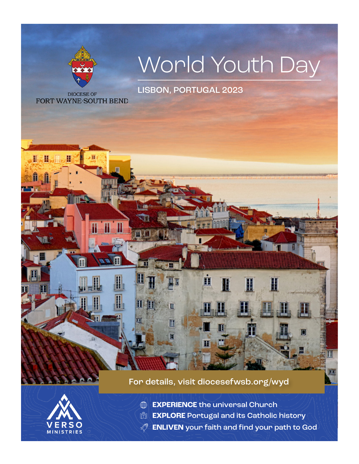

FRS  $\Omega$ **MINISTRIES** 

- **EXPERIENCE** the universal Church
- **EXPLORE** Portugal and its Catholic history
- **ENLIVEN** your faith and find your path to God